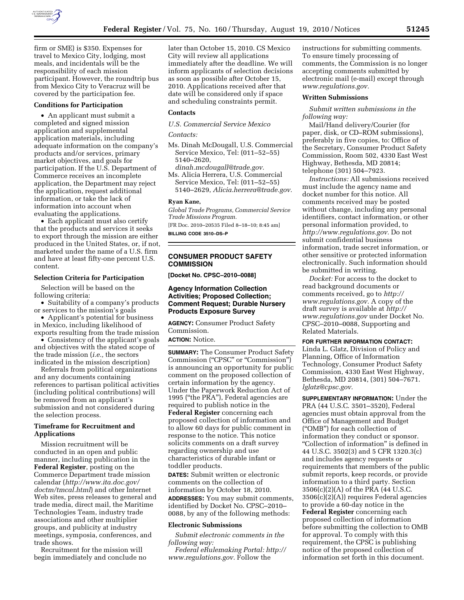

firm or SME) is \$350. Expenses for travel to Mexico City, lodging, most meals, and incidentals will be the responsibility of each mission participant. However, the roundtrip bus from Mexico City to Veracruz will be covered by the participation fee.

#### **Conditions for Participation**

• An applicant must submit a completed and signed mission application and supplemental application materials, including adequate information on the company's products and/or services, primary market objectives, and goals for participation. If the U.S. Department of Commerce receives an incomplete application, the Department may reject the application, request additional information, or take the lack of information into account when evaluating the applications.

• Each applicant must also certify that the products and services it seeks to export through the mission are either produced in the United States, or, if not, marketed under the name of a U.S. firm and have at least fifty-one percent U.S. content.

## **Selection Criteria for Participation**

Selection will be based on the following criteria:

• Suitability of a company's products or services to the mission's goals

• Applicant's potential for business in Mexico, including likelihood of exports resulting from the trade mission

• Consistency of the applicant's goals and objectives with the stated scope of the trade mission (*i.e.,* the sectors indicated in the mission description)

Referrals from political organizations and any documents containing references to partisan political activities (including political contributions) will be removed from an applicant's submission and not considered during the selection process.

## **Timeframe for Recruitment and Applications**

Mission recruitment will be conducted in an open and public manner, including publication in the **Federal Register**, posting on the Commerce Department trade mission calendar (*[http://www.ita.doc.gov/](http://www.ita.doc.gov/doctm/tmcal.html)  [doctm/tmcal.html](http://www.ita.doc.gov/doctm/tmcal.html)*) and other Internet Web sites, press releases to general and trade media, direct mail, the Maritime Technologies Team, industry trade associations and other multiplier groups, and publicity at industry meetings, symposia, conferences, and trade shows.

Recruitment for the mission will begin immediately and conclude no later than October 15, 2010. CS Mexico City will review all applications immediately after the deadline. We will inform applicants of selection decisions as soon as possible after October 15, 2010. Applications received after that date will be considered only if space and scheduling constraints permit.

#### **Contacts**

*U.S. Commercial Service Mexico* 

*Contacts:* 

- Ms. Dinah McDougall, U.S. Commercial Service Mexico, Tel: (011–52–55) 5140–2620,
- *[dinah.mcdougall@trade.gov.](mailto:dinah.mcdougall@trade.gov)*  Ms. Alicia Herrera, U.S. Commercial Service Mexico, Tel: (011–52–55) 5140–2629, *[Alicia.herrera@trade.gov.](mailto:Alicia.herrera@trade.gov)*

#### **Ryan Kane,**

*Global Trade Programs, Commercial Service Trade Missions Program.* 

[FR Doc. 2010–20535 Filed 8–18–10; 8:45 am] **BILLING CODE 3510–DS–P** 

**CONSUMER PRODUCT SAFETY COMMISSION** 

**[Docket No. CPSC–2010–0088]** 

## **Agency Information Collection Activities; Proposed Collection; Comment Request; Durable Nursery Products Exposure Survey**

**AGENCY:** Consumer Product Safety Commission.

**ACTION:** Notice.

**SUMMARY:** The Consumer Product Safety Commission (''CPSC'' or ''Commission'') is announcing an opportunity for public comment on the proposed collection of certain information by the agency. Under the Paperwork Reduction Act of 1995 (''the PRA''), Federal agencies are required to publish notice in the **Federal Register** concerning each proposed collection of information and to allow 60 days for public comment in response to the notice. This notice solicits comments on a draft survey regarding ownership and use characteristics of durable infant or toddler products.

**DATES:** Submit written or electronic comments on the collection of information by October 18, 2010. **ADDRESSES:** You may submit comments, identified by Docket No. CPSC–2010– 0088, by any of the following methods:

#### **Electronic Submissions**

*Submit electronic comments in the following way:* 

*Federal eRulemaking Portal: [http://](http://www.regulations.gov)  [www.regulations.gov.](http://www.regulations.gov)* Follow the

instructions for submitting comments. To ensure timely processing of comments, the Commission is no longer accepting comments submitted by electronic mail (e-mail) except through *[www.regulations.gov.](http://www.regulations.gov)* 

## **Written Submissions**

*Submit written submissions in the following way:* 

Mail/Hand delivery/Courier (for paper, disk, or CD–ROM submissions), preferably in five copies, to: Office of the Secretary, Consumer Product Safety Commission, Room 502, 4330 East West Highway, Bethesda, MD 20814; telephone (301) 504–7923.

*Instructions:* All submissions received must include the agency name and docket number for this notice. All comments received may be posted without change, including any personal identifiers, contact information, or other personal information provided, to *[http://www.regulations.gov.](http://www.regulations.gov)* Do not submit confidential business information, trade secret information, or other sensitive or protected information electronically. Such information should be submitted in writing.

*Docket:* For access to the docket to read background documents or comments received, go to *[http://](http://www.regulations.gov)  [www.regulations.gov.](http://www.regulations.gov)* A copy of the draft survey is available at *[http://](http://www.regulations.gov) [www.regulations.gov](http://www.regulations.gov)* under Docket No. CPSC–2010–0088, Supporting and Related Materials.

#### **FOR FURTHER INFORMATION CONTACT:**

Linda L. Glatz, Division of Policy and Planning, Office of Information Technology, Consumer Product Safety Commission, 4330 East West Highway, Bethesda, MD 20814, (301) 504–7671. *[lglatz@cpsc.gov.](mailto:lglatz@cpsc.gov)* 

**SUPPLEMENTARY INFORMATION:** Under the PRA (44 U.S.C. 3501–3520), Federal agencies must obtain approval from the Office of Management and Budget (''OMB'') for each collection of information they conduct or sponsor. ''Collection of information'' is defined in 44 U.S.C. 3502(3) and 5 CFR 1320.3(c) and includes agency requests or requirements that members of the public submit reports, keep records, or provide information to a third party. Section 3506(c)(2)(A) of the PRA (44 U.S.C. 3506(c)(2)(A)) requires Federal agencies to provide a 60-day notice in the **Federal Register** concerning each proposed collection of information before submitting the collection to OMB for approval. To comply with this requirement, the CPSC is publishing notice of the proposed collection of information set forth in this document.